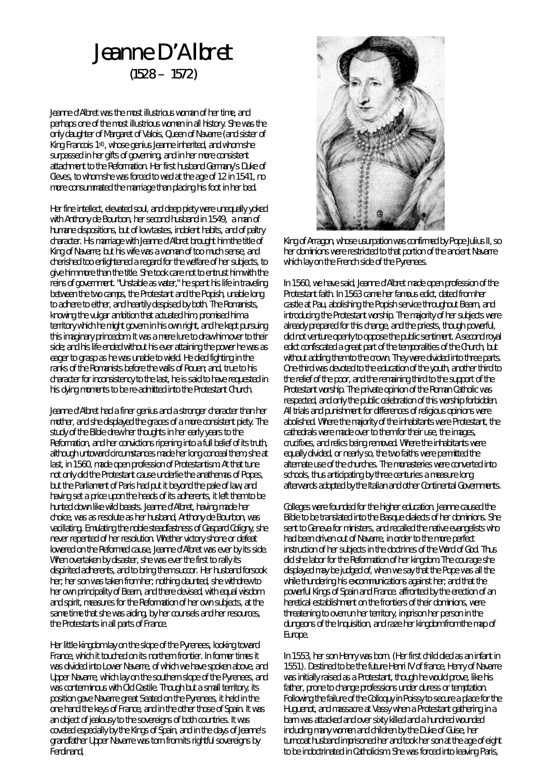## Jeanne D'Albret  $(1528 - 1572)$

Jeanne d'Albret was the most illustrious woman of her time, and perhaps one of the most illustrious women in all history. She was the only daughter of Margaret of Valois, Queen of Navarre (and sister of King Francois 1st) , whose genius Jeanne inherited, and whom she surpassed in her gifts of governing, and in her more consistent attachment to the Reformation. Her first husband Germany's Duke of Cleves, to whom she was forced to wed at the age of 12 in 1541, no more consummated the marriage than placing his foot in her bed.

Her fine intellect, elevated soul, and deep piety were unequally yoked with Anthony de Bourbon, her second husband in 1549, a man of humane dispositions, but of low tastes, indolent habits, and of paltry character. His marriage with Jeanne d'Albret brought him the title of King of Navarre; but his wife was a woman of too much sense, and cherished too enlightened a regard for the welfare of her subjects, to give him more than the title. She took care not to entrust him with the reins of government. "Unstable as water," he spent his life in traveling between the two camps, the Protestant and the Popish, unable long to adhere to either, and heartily despised by both. The Romanists, knowing the vulgar ambition that actuated him, promised him a territory which he might govern in his own right, and he kept pursuing this imaginary princedom. It was a mere lure to draw him over to their side; and his life ended without his ever attaining the power he was as eager to grasp as he was unable to wield. He died fighting in the ranks of the Romanists before the walls of Rouen; and, true to his character for inconsistency to the last, he is said to have requested in his dying moments to be re-admitted into the Protestant Church.

Jeanne d'Albret had a finer genius and a stronger character than her mother, and she displayed the graces of a more consistent piety. The study of the Bible drew her thoughts in her early years to the Reformation, and her convictions ripening into a full belief of its truth, although untoward circumstances made her long conceal them, she at last, in 1560, made open profession of Protestantism. At that tune not only did the Protestant cause underlie the anathemas of Popes, but the Parliament of Paris had put it beyond the pale of law, and having set a price upon the heads of its adherents, it left them to be hunted down like wild beasts. Jeanne d'Albret, having made her choice, was as resolute as her husband, Anthony de Bourbon, was vacillating. Emulating the noble steadfastness of Gaspard Coligny, she never repented of her resolution. Whether victory shone or defeat lowered on the Reformed cause, Jeanne d'Albret was ever by its side. When overtaken by disaster, she was ever the first to rally its dispirited adherents, and to bring them succor. Her husband forsook her; her son was taken from her; nothing daunted, she withdrew to her own principality of Bearn, and there devised, with equal wisdom and spirit, measures for the Reformation of her own subjects, at the same time that she was aiding, by her counsels and her resources, the Protestants in all parts of France.

Her little kingdom lay on the slope of the Pyrenees, looking toward France, which it touched on its northern frontier. In former times it was divided into Lower Navarre, of which we have spoken above, and Upper Navarre, which lay on the southern slope of the Pyrenees, and was conterminous with Old Castile. Though but a small territory, its position gave Navarre great Seated on the Pyrenees, it held in the one hand the keys of France, and in the other those of Spain. It was an object of jealousy to the sovereigns of both countries. It was coveted especially by the Kings of Spain, and in the days of Jeanne's grandfather Upper Navarre was torn from its rightful sovereigns by Ferdinand,



King of Arragon, whose usurpation was confirmed by Pope Julius II, so her dominions were restricted to that portion of the ancient Navarre which lay on the French side of the Pyrenees.

In 1560, we have said, Jeanne d'Albret made open profession of the Protestant faith. In 1563 came her famous edict, dated from her castle at Pau, abolishing the Popish service throughout Bearn, and introducing the Protestant worship. The majority of her subjects were already prepared for this change, and the priests, though powerful, did not venture openly to oppose the public sentiment. A second royal edict confiscated a great part of the temporalities of the Church, but without adding them to the crown. They were divided into three parts. One-third was devoted to the education of the youth, another third to the relief of the poor, and the remaining third to the support of the Protestant worship. The private opinion of the Roman Catholic was respected, and only the public celebration of this worship forbidden. All trials and punishment for differences of religious opinions were abolished. Where the majority of the inhabitants were Protestant, the cathedrals were made over to them for their use, the images, crucifixes, and relics being removed. Where the inhabitants were equally divided, or nearly so, the two faiths were permitted the alternate use of the churches. The monasteries were converted into schools, thus anticipating by three centuries a measure long afterwards adopted by the Italian and other Continental Governments.

Colleges were founded for the higher education. Jeanne caused the Bible to be translated into the Basque dialects of her dominions. She sent to Geneva for ministers, and recalled the native evangelists who had been driven out of Navarre, in order to the more perfect instruction of her subjects in the doctrines of the Word of God. Thus did she labor for the Reformation of her kingdom. The courage she displayed may be judged of, when we say that the Pope was all the while thundering his excommunications against her; and that the powerful Kings of Spain and France. affronted by the erection of an heretical establishment on the frontiers of their dominions, were threatening to overrun her territory, imprison her person in the dungeons of the Inquisition, and raze her kingdom from the map of Europe.

In 1553, her son Henry was born. (Her first child died as an infant in 1551). Destined to be the future Henri IV of france, Henry of Navarre was initially raised as a Protestant, though he would prove, like his father, prone to change professions under duress or temptation. Following the failure of the Colloquy in Poissy to secure a place for the Huguenot, and massacre at Vassy when a Protestant gathering in a barn was attacked and over sixty killed and a hundred wounded including many women and children by the Duke of Guise, her turncoat husband imprisoned her and took her son at the age of eight to be indoctrinated in Catholicism. She was forced into leaving Paris,